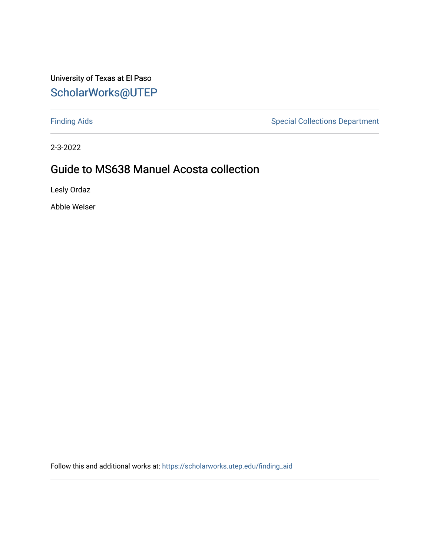#### University of Texas at El Paso [ScholarWorks@UTEP](https://scholarworks.utep.edu/)

[Finding Aids](https://scholarworks.utep.edu/finding_aid) **Special Collections Department** 

2-3-2022

#### Guide to MS638 Manuel Acosta collection

Lesly Ordaz

Abbie Weiser

Follow this and additional works at: [https://scholarworks.utep.edu/finding\\_aid](https://scholarworks.utep.edu/finding_aid?utm_source=scholarworks.utep.edu%2Ffinding_aid%2F271&utm_medium=PDF&utm_campaign=PDFCoverPages)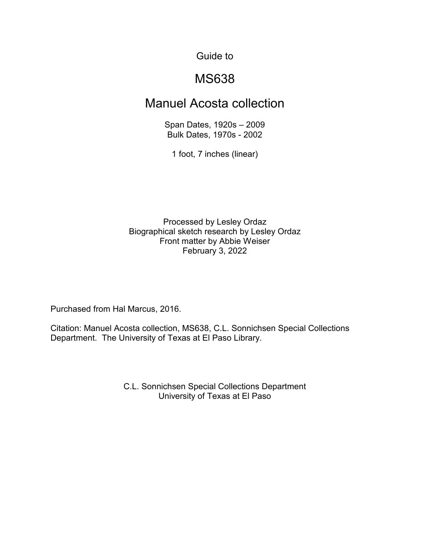#### Guide to

### MS638

#### Manuel Acosta collection

Span Dates, 1920s – 2009 Bulk Dates, 1970s - 2002

1 foot, 7 inches (linear)

Processed by Lesley Ordaz Biographical sketch research by Lesley Ordaz Front matter by Abbie Weiser February 3, 2022

Purchased from Hal Marcus, 2016.

Citation: Manuel Acosta collection, MS638, C.L. Sonnichsen Special Collections Department. The University of Texas at El Paso Library.

> C.L. Sonnichsen Special Collections Department University of Texas at El Paso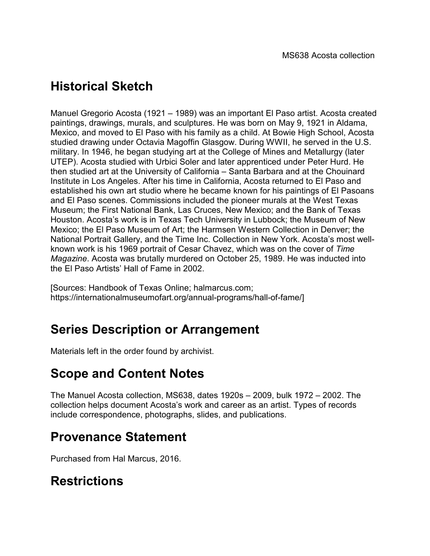# **Historical Sketch**

Manuel Gregorio Acosta (1921 – 1989) was an important El Paso artist. Acosta created paintings, drawings, murals, and sculptures. He was born on May 9, 1921 in Aldama, Mexico, and moved to El Paso with his family as a child. At Bowie High School, Acosta studied drawing under Octavia Magoffin Glasgow. During WWII, he served in the U.S. military. In 1946, he began studying art at the College of Mines and Metallurgy (later UTEP). Acosta studied with Urbici Soler and later apprenticed under Peter Hurd. He then studied art at the University of California – Santa Barbara and at the Chouinard Institute in Los Angeles. After his time in California, Acosta returned to El Paso and established his own art studio where he became known for his paintings of El Pasoans and El Paso scenes. Commissions included the pioneer murals at the West Texas Museum; the First National Bank, Las Cruces, New Mexico; and the Bank of Texas Houston. Acosta's work is in Texas Tech University in Lubbock; the Museum of New Mexico; the El Paso Museum of Art; the Harmsen Western Collection in Denver; the National Portrait Gallery, and the Time Inc. Collection in New York. Acosta's most wellknown work is his 1969 portrait of Cesar Chavez, which was on the cover of *Time Magazine*. Acosta was brutally murdered on October 25, 1989. He was inducted into the El Paso Artists' Hall of Fame in 2002.

[Sources: Handbook of Texas Online; halmarcus.com; https://internationalmuseumofart.org/annual-programs/hall-of-fame/]

## **Series Description or Arrangement**

Materials left in the order found by archivist.

# **Scope and Content Notes**

The Manuel Acosta collection, MS638, dates 1920s – 2009, bulk 1972 – 2002. The collection helps document Acosta's work and career as an artist. Types of records include correspondence, photographs, slides, and publications.

# **Provenance Statement**

Purchased from Hal Marcus, 2016.

# **Restrictions**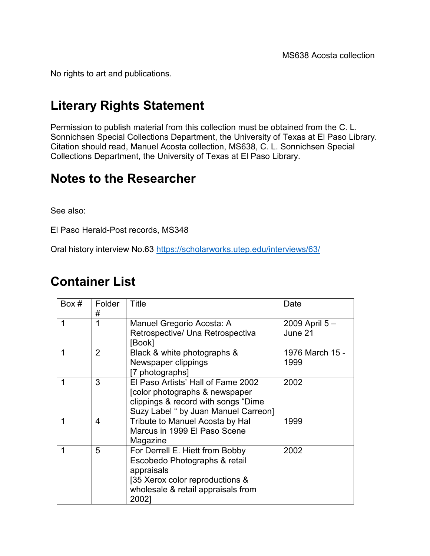No rights to art and publications.

# **Literary Rights Statement**

Permission to publish material from this collection must be obtained from the C. L. Sonnichsen Special Collections Department, the University of Texas at El Paso Library. Citation should read, Manuel Acosta collection, MS638, C. L. Sonnichsen Special Collections Department, the University of Texas at El Paso Library.

### **Notes to the Researcher**

See also:

El Paso Herald-Post records, MS348

Oral history interview No.63<https://scholarworks.utep.edu/interviews/63/>

### **Container List**

| Box $#$ | Folder<br>#    | Title                                                                                                                                                            | Date                     |
|---------|----------------|------------------------------------------------------------------------------------------------------------------------------------------------------------------|--------------------------|
| 1       | 1              | Manuel Gregorio Acosta: A<br>Retrospective/ Una Retrospectiva<br>[Book]                                                                                          | 2009 April 5-<br>June 21 |
|         | $\overline{2}$ | Black & white photographs &<br>Newspaper clippings<br>[7 photographs]                                                                                            | 1976 March 15 -<br>1999  |
| 1       | 3              | El Paso Artists' Hall of Fame 2002<br>[color photographs & newspaper<br>clippings & record with songs "Dime<br>Suzy Label " by Juan Manuel Carreon]              | 2002                     |
|         | 4              | Tribute to Manuel Acosta by Hal<br>Marcus in 1999 El Paso Scene<br>Magazine                                                                                      | 1999                     |
| 1       | 5              | For Derrell E. Hiett from Bobby<br>Escobedo Photographs & retail<br>appraisals<br>[35 Xerox color reproductions &<br>wholesale & retail appraisals from<br>2002] | 2002                     |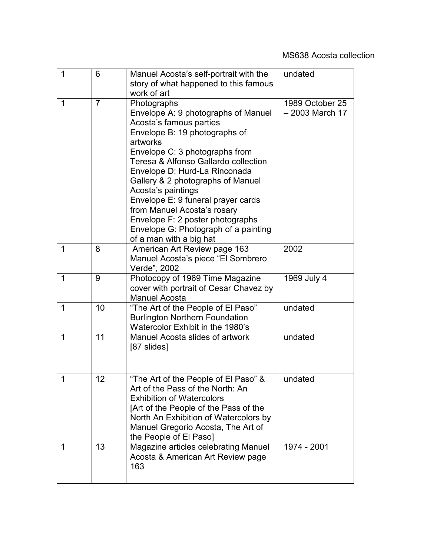| 1 | 6              | Manuel Acosta's self-portrait with the<br>story of what happened to this famous<br>work of art                                                                                                                                                                                                                                                                                                                                                                               | undated                            |
|---|----------------|------------------------------------------------------------------------------------------------------------------------------------------------------------------------------------------------------------------------------------------------------------------------------------------------------------------------------------------------------------------------------------------------------------------------------------------------------------------------------|------------------------------------|
| 1 | $\overline{7}$ | Photographs<br>Envelope A: 9 photographs of Manuel<br>Acosta's famous parties<br>Envelope B: 19 photographs of<br>artworks<br>Envelope C: 3 photographs from<br>Teresa & Alfonso Gallardo collection<br>Envelope D: Hurd-La Rinconada<br>Gallery & 2 photographs of Manuel<br>Acosta's paintings<br>Envelope E: 9 funeral prayer cards<br>from Manuel Acosta's rosary<br>Envelope F: 2 poster photographs<br>Envelope G: Photograph of a painting<br>of a man with a big hat | 1989 October 25<br>- 2003 March 17 |
| 1 | 8              | American Art Review page 163<br>Manuel Acosta's piece "El Sombrero<br>Verde", 2002                                                                                                                                                                                                                                                                                                                                                                                           | 2002                               |
| 1 | 9              | Photocopy of 1969 Time Magazine<br>cover with portrait of Cesar Chavez by<br><b>Manuel Acosta</b>                                                                                                                                                                                                                                                                                                                                                                            | 1969 July 4                        |
| 1 | 10             | "The Art of the People of El Paso"<br><b>Burlington Northern Foundation</b><br>Watercolor Exhibit in the 1980's                                                                                                                                                                                                                                                                                                                                                              | undated                            |
| 1 | 11             | Manuel Acosta slides of artwork<br>[87 slides]                                                                                                                                                                                                                                                                                                                                                                                                                               | undated                            |
| 1 | 12             | "The Art of the People of El Paso" &<br>Art of the Pass of the North: An<br><b>Exhibition of Watercolors</b><br>[Art of the People of the Pass of the<br>North An Exhibition of Watercolors by<br>Manuel Gregorio Acosta, The Art of<br>the People of El Paso]                                                                                                                                                                                                               | undated                            |
| 1 | 13             | Magazine articles celebrating Manuel<br>Acosta & American Art Review page<br>163                                                                                                                                                                                                                                                                                                                                                                                             | 1974 - 2001                        |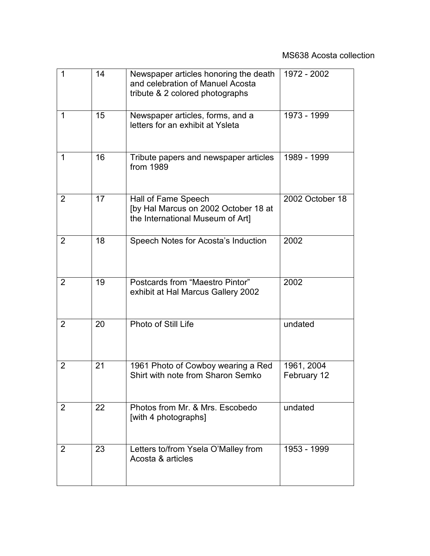| $\mathbf 1$ | 14 | Newspaper articles honoring the death<br>and celebration of Manuel Acosta<br>tribute & 2 colored photographs | 1972 - 2002               |
|-------------|----|--------------------------------------------------------------------------------------------------------------|---------------------------|
| 1           | 15 | Newspaper articles, forms, and a<br>letters for an exhibit at Ysleta                                         | 1973 - 1999               |
| 1           | 16 | Tribute papers and newspaper articles<br>from 1989                                                           | 1989 - 1999               |
| 2           | 17 | Hall of Fame Speech<br>[by Hal Marcus on 2002 October 18 at<br>the International Museum of Art]              | 2002 October 18           |
| 2           | 18 | Speech Notes for Acosta's Induction                                                                          | 2002                      |
| 2           | 19 | Postcards from "Maestro Pintor"<br>exhibit at Hal Marcus Gallery 2002                                        | 2002                      |
| 2           | 20 | Photo of Still Life                                                                                          | undated                   |
| 2           | 21 | 1961 Photo of Cowboy wearing a Red<br>Shirt with note from Sharon Semko                                      | 1961, 2004<br>February 12 |
| 2           | 22 | Photos from Mr. & Mrs. Escobedo<br>[with 4 photographs]                                                      | undated                   |
| 2           | 23 | Letters to/from Ysela O'Malley from<br>Acosta & articles                                                     | 1953 - 1999               |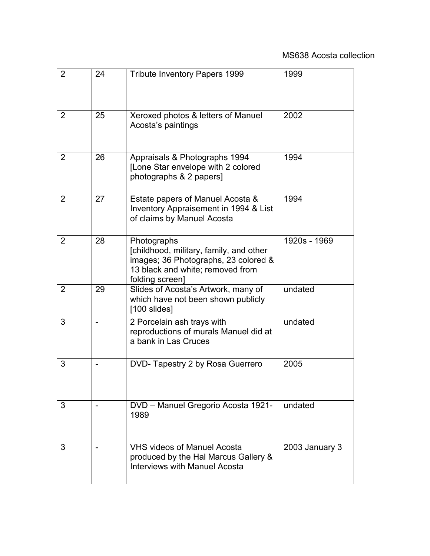| $\overline{2}$ | 24 | <b>Tribute Inventory Papers 1999</b>                                                                                                                  | 1999           |
|----------------|----|-------------------------------------------------------------------------------------------------------------------------------------------------------|----------------|
| 2              | 25 | Xeroxed photos & letters of Manuel<br>Acosta's paintings                                                                                              | 2002           |
| 2              | 26 | Appraisals & Photographs 1994<br>[Lone Star envelope with 2 colored<br>photographs & 2 papers]                                                        | 1994           |
| $\overline{2}$ | 27 | Estate papers of Manuel Acosta &<br>Inventory Appraisement in 1994 & List<br>of claims by Manuel Acosta                                               | 1994           |
| 2              | 28 | Photographs<br>[childhood, military, family, and other<br>images; 36 Photographs, 23 colored &<br>13 black and white; removed from<br>folding screen] | 1920s - 1969   |
| 2              | 29 | Slides of Acosta's Artwork, many of<br>which have not been shown publicly<br>$[100$ slides]                                                           | undated        |
| 3              |    | 2 Porcelain ash trays with<br>reproductions of murals Manuel did at<br>a bank in Las Cruces                                                           | undated        |
| 3              |    | DVD-Tapestry 2 by Rosa Guerrero                                                                                                                       | 2005           |
| 3              |    | DVD - Manuel Gregorio Acosta 1921-<br>1989                                                                                                            | undated        |
| 3              |    | <b>VHS videos of Manuel Acosta</b><br>produced by the Hal Marcus Gallery &<br>Interviews with Manuel Acosta                                           | 2003 January 3 |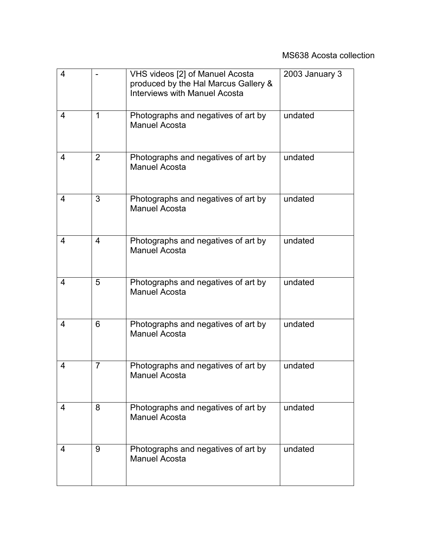| 4 |                | VHS videos [2] of Manuel Acosta<br>produced by the Hal Marcus Gallery &<br><b>Interviews with Manuel Acosta</b> | 2003 January 3 |
|---|----------------|-----------------------------------------------------------------------------------------------------------------|----------------|
| 4 | 1              | Photographs and negatives of art by<br><b>Manuel Acosta</b>                                                     | undated        |
| 4 | $\overline{2}$ | Photographs and negatives of art by<br><b>Manuel Acosta</b>                                                     | undated        |
| 4 | 3              | Photographs and negatives of art by<br><b>Manuel Acosta</b>                                                     | undated        |
| 4 | 4              | Photographs and negatives of art by<br><b>Manuel Acosta</b>                                                     | undated        |
| 4 | 5              | Photographs and negatives of art by<br><b>Manuel Acosta</b>                                                     | undated        |
| 4 | 6              | Photographs and negatives of art by<br><b>Manuel Acosta</b>                                                     | undated        |
| 4 | $\overline{7}$ | Photographs and negatives of art by<br><b>Manuel Acosta</b>                                                     | undated        |
| 4 | 8              | Photographs and negatives of art by<br><b>Manuel Acosta</b>                                                     | undated        |
| 4 | 9              | Photographs and negatives of art by<br><b>Manuel Acosta</b>                                                     | undated        |